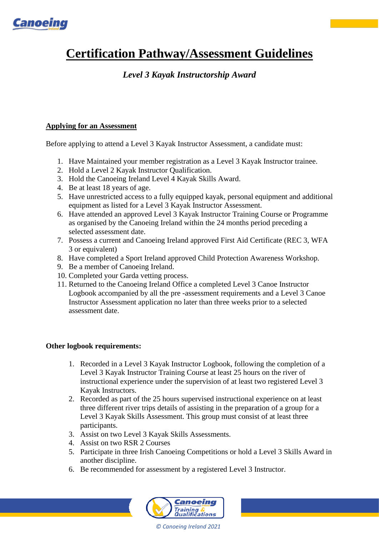

# **Certification Pathway/Assessment Guidelines**

## *Level 3 Kayak Instructorship Award*

### **Applying for an Assessment**

Before applying to attend a Level 3 Kayak Instructor Assessment, a candidate must:

- 1. Have Maintained your [member](https://www.google.com/url?q=http://canoe.ie/membership/&sa=D&source=editors&ust=1613988711410000&usg=AOvVaw09PWK5LlaA_eQzp6kRNx57) registration as a Level 3 Kayak Instructor trainee.
- 2. Hold a Level 2 Kayak Instructor Qualification.
- 3. Hold the Canoeing Ireland Level 4 Kayak Skills Award.
- 4. Be at least 18 years of age.
- 5. Have unrestricted access to a fully equipped kayak, personal equipment and additional equipment as listed for a Level 3 Kayak Instructor Assessment.
- 6. Have attended an approved Level 3 Kayak Instructor Training Course or Programme as organised by the Canoeing Ireland within the 24 months period preceding a selected assessment date.
- 7. Possess a current and Canoeing Ireland approved First Aid Certificate (REC 3, WFA 3 or equivalent)
- 8. Have completed a Sport Ireland approved Child Protection Awareness Workshop.
- 9. Be a member of Canoeing Ireland.
- 10. Completed your [Garda vetting](https://www.google.com/url?q=http://canoe.ie/garda-vetting/&sa=D&source=editors&ust=1613651511009000&usg=AOvVaw3N2zUvcZLFsrZUMzIB9ts9) process.
- 11. Returned to the Canoeing Ireland Office a completed Level 3 Canoe Instructor Logbook accompanied by all the pre -assessment requirements and a Level 3 Canoe Instructor Assessment application no later than three weeks prior to a selected assessment date.

#### **Other logbook requirements:**

- 1. Recorded in a Level 3 Kayak Instructor Logbook, following the completion of a Level 3 Kayak Instructor Training Course at least 25 hours on the river of instructional experience under the supervision of at least two registered Level 3 Kayak Instructors.
- 2. Recorded as part of the 25 hours supervised instructional experience on at least three different river trips details of assisting in the preparation of a group for a Level 3 Kayak Skills Assessment. This group must consist of at least three participants.
- 3. Assist on two Level 3 Kayak Skills Assessments.
- 4. Assist on two RSR 2 Courses
- 5. Participate in three Irish Canoeing Competitions or hold a Level 3 Skills Award in another discipline.
- 6. Be recommended for assessment by a registered Level 3 Instructor.



*© Canoeing Ireland 2021*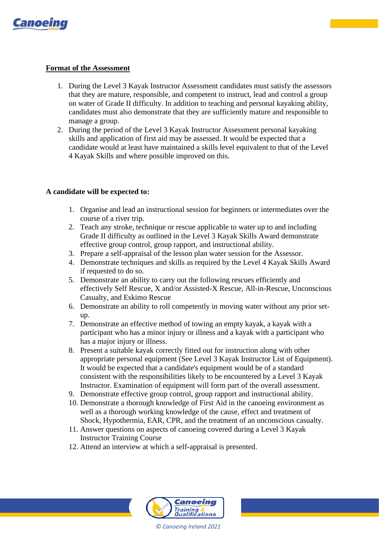

#### **Format of the Assessment**

- 1. During the Level 3 Kayak Instructor Assessment candidates must satisfy the assessors that they are mature, responsible, and competent to instruct, lead and control a group on water of Grade II difficulty. In addition to teaching and personal kayaking ability, candidates must also demonstrate that they are sufficiently mature and responsible to manage a group.
- 2. During the period of the Level 3 Kayak Instructor Assessment personal kayaking skills and application of first aid may be assessed. It would be expected that a candidate would at least have maintained a skills level equivalent to that of the Level 4 Kayak Skills and where possible improved on this.

#### **A candidate will be expected to:**

- 1. Organise and lead an instructional session for beginners or intermediates over the course of a river trip.
- 2. Teach any stroke, technique or rescue applicable to water up to and including Grade II difficulty as outlined in the Level 3 Kayak Skills Award demonstrate effective group control, group rapport, and instructional ability.
- 3. Prepare a self-appraisal of the lesson plan water session for the Assessor.
- 4. Demonstrate techniques and skills as required by the Level 4 Kayak Skills Award if requested to do so.
- 5. Demonstrate an ability to carry out the following rescues efficiently and effectively Self Rescue, X and/or Assisted-X Rescue, All-in-Rescue, Unconscious Casualty, and Eskimo Rescue
- 6. Demonstrate an ability to roll competently in moving water without any prior setup.
- 7. Demonstrate an effective method of towing an empty kayak, a kayak with a participant who has a minor injury or illness and a kayak with a participant who has a major injury or illness.
- 8. Present a suitable kayak correctly fitted out for instruction along with other appropriate personal equipment (See Level 3 Kayak Instructor List of Equipment). It would be expected that a candidate's equipment would be of a standard consistent with the responsibilities likely to be encountered by a Level 3 Kayak Instructor. Examination of equipment will form part of the overall assessment.
- 9. Demonstrate effective group control, group rapport and instructional ability.
- 10. Demonstrate a thorough knowledge of First Aid in the canoeing environment as well as a thorough working knowledge of the cause, effect and treatment of Shock, Hypothermia, EAR, CPR, and the treatment of an unconscious casualty.
- 11. Answer questions on aspects of canoeing covered during a Level 3 Kayak Instructor Training Course
- 12. Attend an interview at which a self-appraisal is presented.



*© Canoeing Ireland 2021*